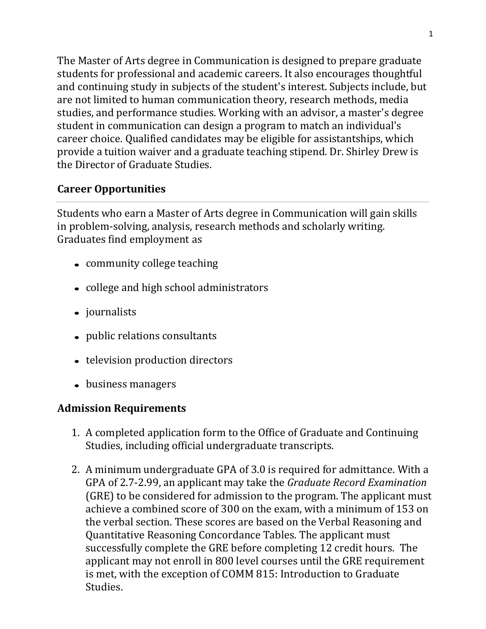The Master of Arts degree in Communication is designed to prepare graduate students for professional and academic careers. It also encourages thoughtful and continuing study in subjects of the student's interest. Subjects include, but are not limited to human communication theory, research methods, media studies, and performance studies. Working with an advisor, a master's degree student in communication can design a program to match an individual's career choice. Qualified candidates may be eligible for assistantships, which provide a tuition waiver and a graduate teaching stipend. Dr. Shirley Drew is the Director of Graduate Studies.

# **Career Opportunities**

Students who earn a Master of Arts degree in Communication will gain skills in problem-solving, analysis, research methods and scholarly writing. Graduates find employment as

- community college teaching
- college and high school administrators
- journalists
- public relations consultants
- television production directors
- business managers

# **Admission Requirements**

- 1. A completed application form to the Office of Graduate and Continuing Studies, including official undergraduate transcripts.
- 2. A minimum undergraduate GPA of 3.0 is required for admittance. With a GPA of 2.7-2.99, an applicant may take the *Graduate Record Examination*  (GRE) to be considered for admission to the program. The applicant must achieve a combined score of 300 on the exam, with a minimum of 153 on the verbal section. These scores are based on the Verbal Reasoning and Quantitative Reasoning Concordance Tables. The applicant must successfully complete the GRE before completing 12 credit hours. The applicant may not enroll in 800 level courses until the GRE requirement is met, with the exception of COMM 815: Introduction to Graduate Studies.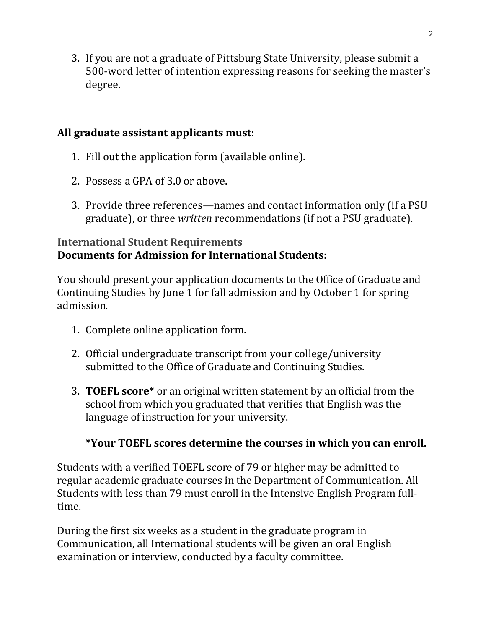3. If you are not a graduate of Pittsburg State University, please submit a 500-word letter of intention expressing reasons for seeking the master's degree.

## **All graduate assistant applicants must:**

- 1. Fill out the application form (available online).
- 2. Possess a GPA of 3.0 or above.
- 3. Provide three references—names and contact information only (if a PSU graduate), or three *written* recommendations (if not a PSU graduate).

# **International Student Requirements Documents for Admission for International Students:**

You should present your application documents to the Office of Graduate and Continuing Studies by June 1 for fall admission and by October 1 for spring admission.

- 1. Complete online application form.
- 2. Official undergraduate transcript from your college/university submitted to the Office of Graduate and Continuing Studies.
- 3. **TOEFL score\*** or an original written statement by an official from the school from which you graduated that verifies that English was the language of instruction for your university.

# **\*Your TOEFL scores determine the courses in which you can enroll.**

Students with a verified TOEFL score of 79 or higher may be admitted to regular academic graduate courses in the Department of Communication. All Students with less than 79 must enroll in the Intensive English Program fulltime.

During the first six weeks as a student in the graduate program in Communication, all International students will be given an oral English examination or interview, conducted by a faculty committee.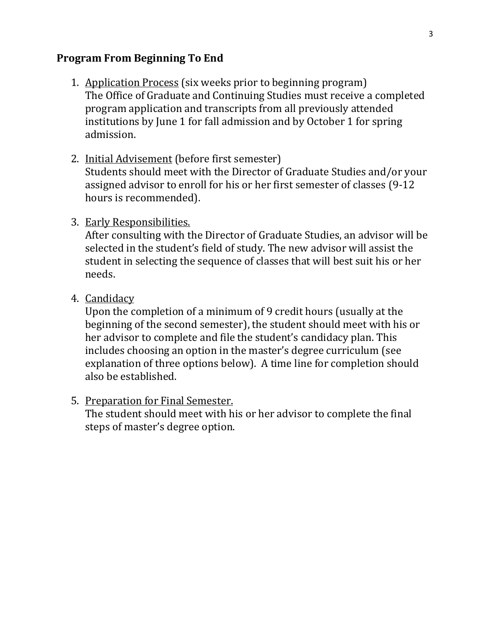### **Program From Beginning To End**

- 1. Application Process (six weeks prior to beginning program) The Office of Graduate and Continuing Studies must receive a completed program application and transcripts from all previously attended institutions by June 1 for fall admission and by October 1 for spring admission.
- 2. Initial Advisement (before first semester)

Students should meet with the Director of Graduate Studies and/or your assigned advisor to enroll for his or her first semester of classes (9-12 hours is recommended).

### 3. Early Responsibilities.

After consulting with the Director of Graduate Studies, an advisor will be selected in the student's field of study. The new advisor will assist the student in selecting the sequence of classes that will best suit his or her needs.

4. Candidacy

Upon the completion of a minimum of 9 credit hours (usually at the beginning of the second semester), the student should meet with his or her advisor to complete and file the student's candidacy plan. This includes choosing an option in the master's degree curriculum (see explanation of three options below). A time line for completion should also be established.

#### 5. Preparation for Final Semester.

The student should meet with his or her advisor to complete the final steps of master's degree option.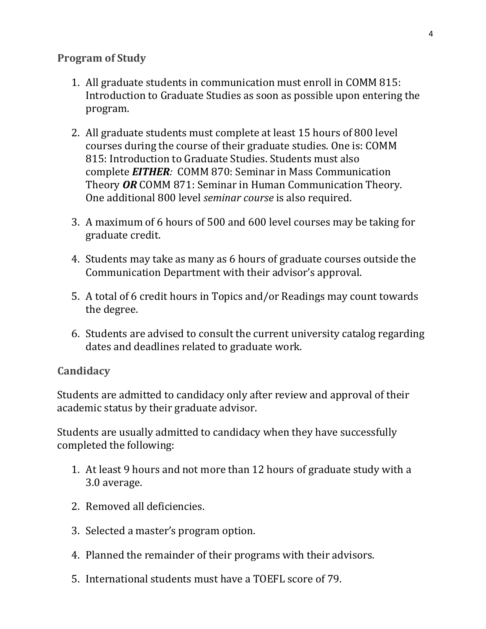## **Program of Study**

- 1. All graduate students in communication must enroll in COMM 815: Introduction to Graduate Studies as soon as possible upon entering the program.
- 2. All graduate students must complete at least 15 hours of 800 level courses during the course of their graduate studies. One is: COMM 815: Introduction to Graduate Studies. Students must also complete *EITHER:* COMM 870: Seminar in Mass Communication Theory *OR* COMM 871: Seminar in Human Communication Theory. One additional 800 level *seminar course* is also required.
- 3. A maximum of 6 hours of 500 and 600 level courses may be taking for graduate credit.
- 4. Students may take as many as 6 hours of graduate courses outside the Communication Department with their advisor's approval.
- 5. A total of 6 credit hours in Topics and/or Readings may count towards the degree.
- 6. Students are advised to consult the current university catalog regarding dates and deadlines related to graduate work.

# **Candidacy**

Students are admitted to candidacy only after review and approval of their academic status by their graduate advisor.

Students are usually admitted to candidacy when they have successfully completed the following:

- 1. At least 9 hours and not more than 12 hours of graduate study with a 3.0 average.
- 2. Removed all deficiencies.
- 3. Selected a master's program option.
- 4. Planned the remainder of their programs with their advisors.
- 5. International students must have a TOEFL score of 79.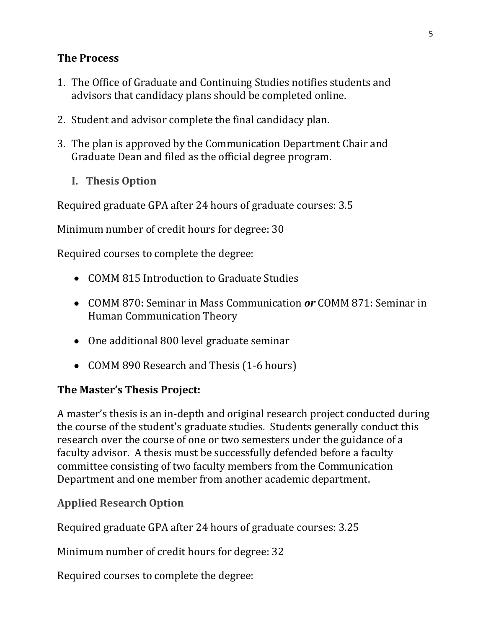### **The Process**

- 1. The Office of Graduate and Continuing Studies notifies students and advisors that candidacy plans should be completed online.
- 2. Student and advisor complete the final candidacy plan.
- 3. The plan is approved by the Communication Department Chair and Graduate Dean and filed as the official degree program.
	- **I. Thesis Option**

Required graduate GPA after 24 hours of graduate courses: 3.5

Minimum number of credit hours for degree: 30

Required courses to complete the degree:

- COMM 815 Introduction to Graduate Studies
- COMM 870: Seminar in Mass Communication *or* COMM 871: Seminar in Human Communication Theory
- One additional 800 level graduate seminar
- COMM 890 Research and Thesis (1-6 hours)

#### **The Master's Thesis Project:**

A master's thesis is an in-depth and original research project conducted during the course of the student's graduate studies. Students generally conduct this research over the course of one or two semesters under the guidance of a faculty advisor. A thesis must be successfully defended before a faculty committee consisting of two faculty members from the Communication Department and one member from another academic department.

**Applied Research Option**

Required graduate GPA after 24 hours of graduate courses: 3.25

Minimum number of credit hours for degree: 32

Required courses to complete the degree: